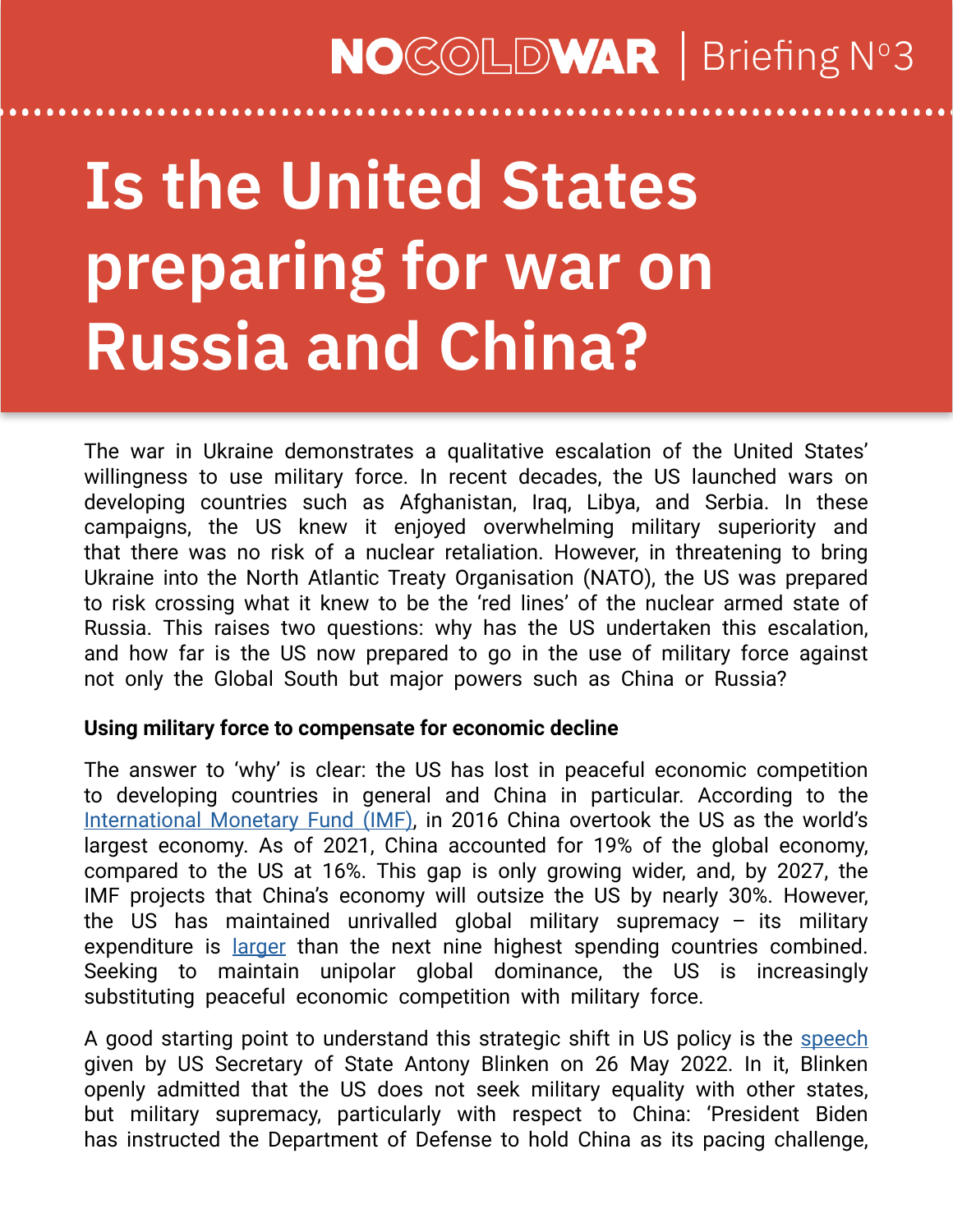### **NO**COLDWAR | Briefing N°3

# **Is the United States preparing for war on Russia and China?**

The war in Ukraine demonstrates a qualitative escalation of the United States' willingness to use military force. In recent decades, the US launched wars on developing countries such as Afghanistan, Iraq, Libya, and Serbia. In these campaigns, the US knew it enjoyed overwhelming military superiority and that there was no risk of a nuclear retaliation. However, in threatening to bring Ukraine into the North Atlantic Treaty Organisation (NATO), the US was prepared to risk crossing what it knew to be the 'red lines' of the nuclear armed state of Russia. This raises two questions: why has the US undertaken this escalation, and how far is the US now prepared to go in the use of military force against not only the Global South but major powers such as China or Russia?

#### **Using military force to compensate for economic decline**

The answer to 'why' is clear: the US has lost in peaceful economic competition to developing countries in general and China in particular. According to the [International Monetary Fund \(IMF\)](https://www.imf.org/en/Publications/WEO/weo-database/2022/April), in 2016 China overtook the US as the world's largest economy. As of 2021, China accounted for 19% of the global economy, compared to the US at 16%. This gap is only growing wider, and, by 2027, the IMF projects that China's economy will outsize the US by nearly 30%. However, the US has maintained unrivalled global military supremacy  $-$  its military expenditure is [larger](https://www.sipri.org/sites/default/files/2022-04/fs_2204_milex_2021_0.pdf) than the next nine highest spending countries combined. Seeking to maintain unipolar global dominance, the US is increasingly substituting peaceful economic competition with military force.

A good starting point to understand this strategic shift in US policy is the [speech](https://www.state.gov/the-administrations-approach-to-the-peoples-republic-of-china/) given by US Secretary of State Antony Blinken on 26 May 2022. In it, Blinken openly admitted that the US does not seek military equality with other states, but military supremacy, particularly with respect to China: 'President Biden has instructed the Department of Defense to hold China as its pacing challenge,